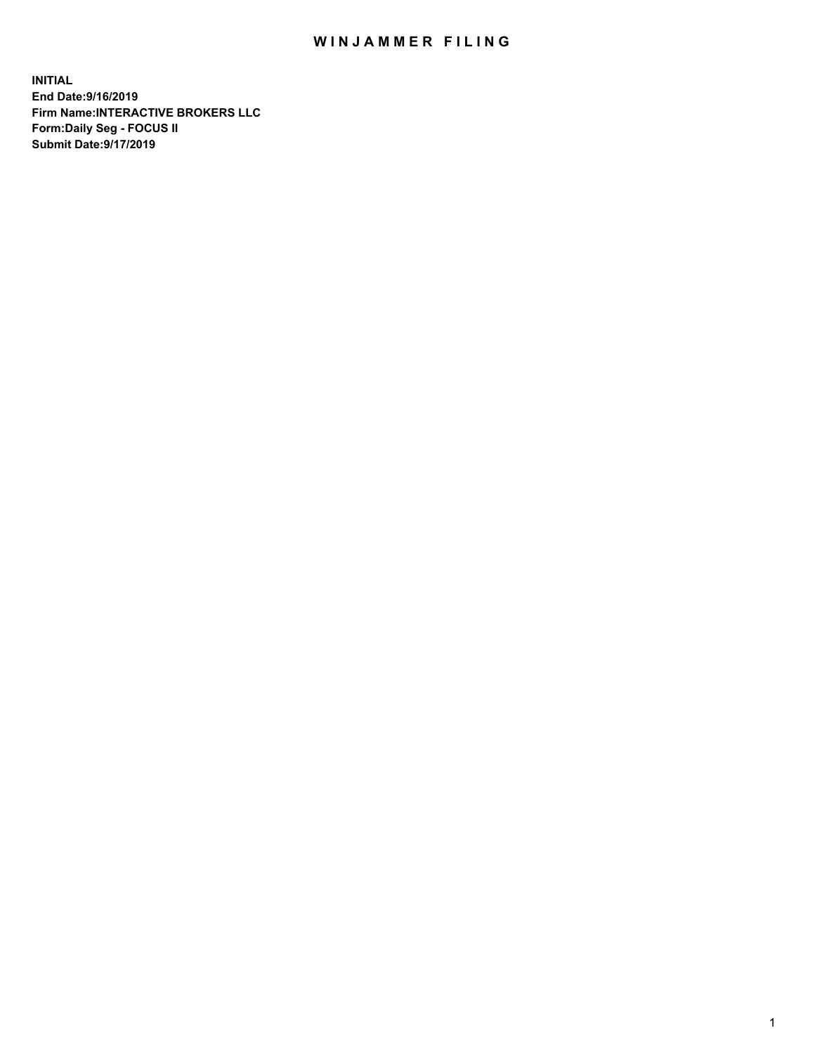## WIN JAMMER FILING

**INITIAL End Date:9/16/2019 Firm Name:INTERACTIVE BROKERS LLC Form:Daily Seg - FOCUS II Submit Date:9/17/2019**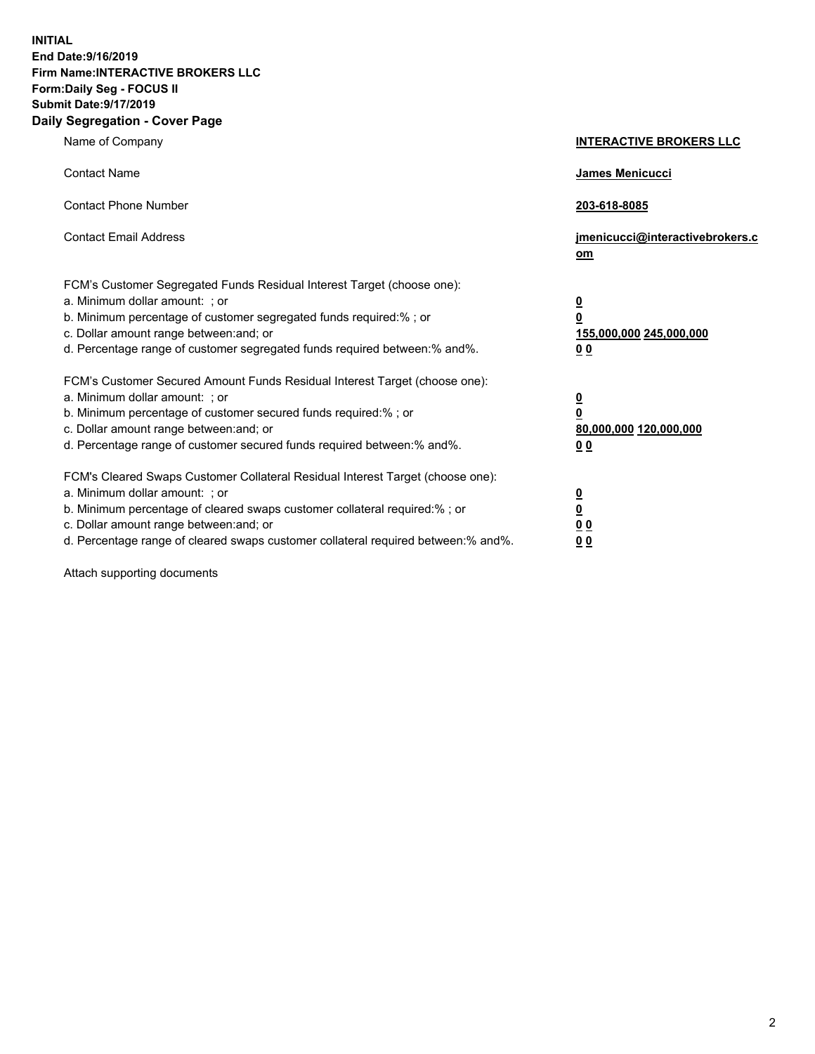**INITIAL End Date:9/16/2019 Firm Name:INTERACTIVE BROKERS LLC Form:Daily Seg - FOCUS II Submit Date:9/17/2019 Daily Segregation - Cover Page**

| Name of Company                                                                                                                                                                                                                                                                                                                | <b>INTERACTIVE BROKERS LLC</b>                                                                  |
|--------------------------------------------------------------------------------------------------------------------------------------------------------------------------------------------------------------------------------------------------------------------------------------------------------------------------------|-------------------------------------------------------------------------------------------------|
| <b>Contact Name</b>                                                                                                                                                                                                                                                                                                            | James Menicucci                                                                                 |
| <b>Contact Phone Number</b>                                                                                                                                                                                                                                                                                                    | 203-618-8085                                                                                    |
| <b>Contact Email Address</b>                                                                                                                                                                                                                                                                                                   | jmenicucci@interactivebrokers.c<br>om                                                           |
| FCM's Customer Segregated Funds Residual Interest Target (choose one):<br>a. Minimum dollar amount: ; or<br>b. Minimum percentage of customer segregated funds required:% ; or<br>c. Dollar amount range between: and; or<br>d. Percentage range of customer segregated funds required between:% and%.                         | $\overline{\mathbf{0}}$<br>$\overline{\mathbf{0}}$<br>155,000,000 245,000,000<br>0 <sub>0</sub> |
| FCM's Customer Secured Amount Funds Residual Interest Target (choose one):<br>a. Minimum dollar amount: ; or<br>b. Minimum percentage of customer secured funds required:% ; or<br>c. Dollar amount range between: and; or<br>d. Percentage range of customer secured funds required between:% and%.                           | $\overline{\mathbf{0}}$<br>0<br>80,000,000 120,000,000<br>0 <sub>0</sub>                        |
| FCM's Cleared Swaps Customer Collateral Residual Interest Target (choose one):<br>a. Minimum dollar amount: ; or<br>b. Minimum percentage of cleared swaps customer collateral required:% ; or<br>c. Dollar amount range between: and; or<br>d. Percentage range of cleared swaps customer collateral required between:% and%. | $\overline{\mathbf{0}}$<br><u>0</u><br>$\underline{0}$ $\underline{0}$<br>00                    |

Attach supporting documents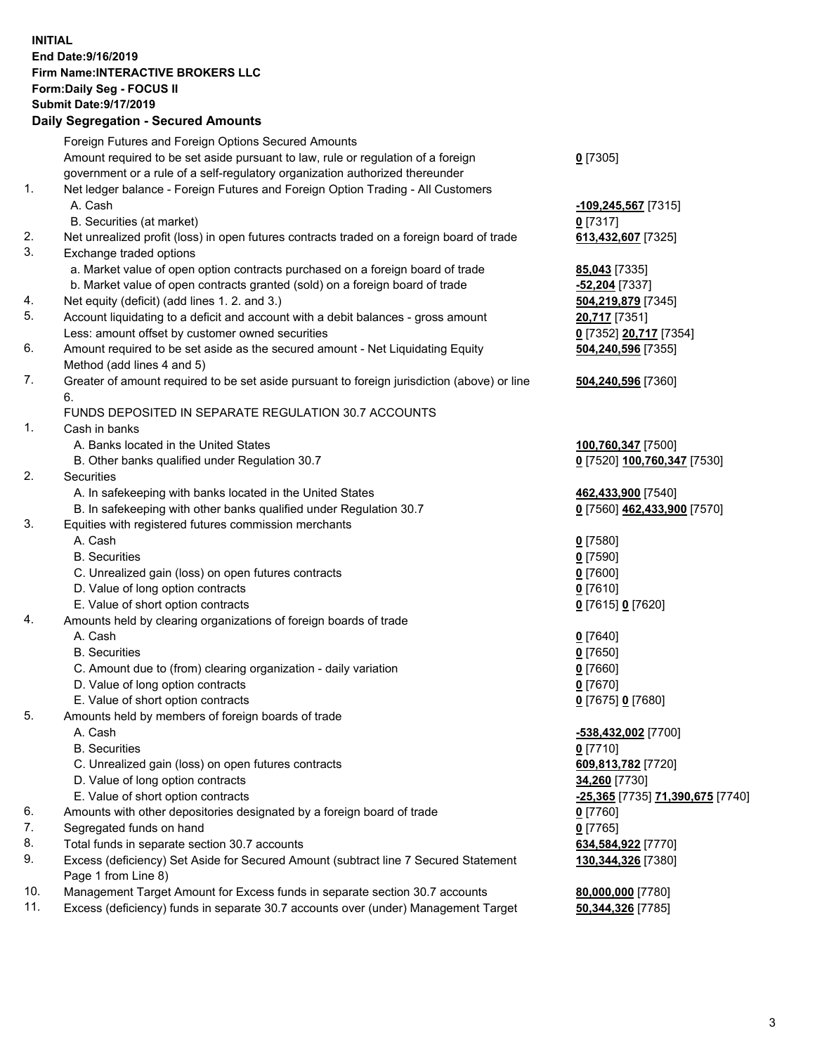## **INITIAL End Date:9/16/2019 Firm Name:INTERACTIVE BROKERS LLC Form:Daily Seg - FOCUS II Submit Date:9/17/2019 Daily Segregation - Secured Amounts**

|                | Daily Jegregation - Jeculed Aniounts                                                                                                 |                                                      |
|----------------|--------------------------------------------------------------------------------------------------------------------------------------|------------------------------------------------------|
|                | Foreign Futures and Foreign Options Secured Amounts                                                                                  |                                                      |
|                | Amount required to be set aside pursuant to law, rule or regulation of a foreign                                                     | $0$ [7305]                                           |
|                | government or a rule of a self-regulatory organization authorized thereunder                                                         |                                                      |
| $\mathbf{1}$ . | Net ledger balance - Foreign Futures and Foreign Option Trading - All Customers                                                      |                                                      |
|                | A. Cash                                                                                                                              | $-109,245,567$ [7315]                                |
|                | B. Securities (at market)                                                                                                            | $0$ [7317]                                           |
| 2.             | Net unrealized profit (loss) in open futures contracts traded on a foreign board of trade                                            | 613,432,607 [7325]                                   |
| 3.             | Exchange traded options                                                                                                              |                                                      |
|                | a. Market value of open option contracts purchased on a foreign board of trade                                                       | 85,043 [7335]                                        |
|                | b. Market value of open contracts granted (sold) on a foreign board of trade                                                         | -52,204 [7337]                                       |
| 4.             | Net equity (deficit) (add lines 1.2. and 3.)                                                                                         | 504,219,879 [7345]                                   |
| 5.             | Account liquidating to a deficit and account with a debit balances - gross amount                                                    | 20,717 [7351]                                        |
|                | Less: amount offset by customer owned securities                                                                                     | 0 [7352] 20,717 [7354]                               |
| 6.             | Amount required to be set aside as the secured amount - Net Liquidating Equity                                                       | 504,240,596 [7355]                                   |
|                | Method (add lines 4 and 5)                                                                                                           |                                                      |
| 7.             | Greater of amount required to be set aside pursuant to foreign jurisdiction (above) or line                                          | 504,240,596 [7360]                                   |
|                | 6.                                                                                                                                   |                                                      |
|                | FUNDS DEPOSITED IN SEPARATE REGULATION 30.7 ACCOUNTS                                                                                 |                                                      |
| 1.             | Cash in banks                                                                                                                        |                                                      |
|                | A. Banks located in the United States                                                                                                | 100,760,347 [7500]                                   |
|                | B. Other banks qualified under Regulation 30.7                                                                                       | 0 [7520] 100,760,347 [7530]                          |
| 2.             | Securities                                                                                                                           |                                                      |
|                | A. In safekeeping with banks located in the United States                                                                            | 462,433,900 [7540]                                   |
|                | B. In safekeeping with other banks qualified under Regulation 30.7                                                                   | 0 [7560] 462,433,900 [7570]                          |
| 3.             | Equities with registered futures commission merchants                                                                                |                                                      |
|                | A. Cash                                                                                                                              | $0$ [7580]                                           |
|                | <b>B.</b> Securities                                                                                                                 | $0$ [7590]                                           |
|                | C. Unrealized gain (loss) on open futures contracts                                                                                  | $0$ [7600]                                           |
|                | D. Value of long option contracts                                                                                                    | $0$ [7610]                                           |
|                | E. Value of short option contracts                                                                                                   | 0 [7615] 0 [7620]                                    |
| 4.             | Amounts held by clearing organizations of foreign boards of trade                                                                    |                                                      |
|                | A. Cash                                                                                                                              | $0$ [7640]                                           |
|                | <b>B.</b> Securities                                                                                                                 | $0$ [7650]                                           |
|                | C. Amount due to (from) clearing organization - daily variation                                                                      | $0$ [7660]                                           |
|                | D. Value of long option contracts                                                                                                    | $0$ [7670]                                           |
|                | E. Value of short option contracts                                                                                                   | 0 [7675] 0 [7680]                                    |
| 5.             | Amounts held by members of foreign boards of trade                                                                                   |                                                      |
|                | A. Cash                                                                                                                              | -538,432,002 [7700]                                  |
|                | <b>B.</b> Securities                                                                                                                 | $0$ [7710]                                           |
|                | C. Unrealized gain (loss) on open futures contracts<br>D. Value of long option contracts                                             | 609,813,782 [7720]                                   |
|                | E. Value of short option contracts                                                                                                   | 34,260 [7730]                                        |
|                | Amounts with other depositories designated by a foreign board of trade                                                               | <mark>-25,365</mark> [7735] <b>71,390,675</b> [7740] |
| 6.<br>7.       |                                                                                                                                      | 0 [7760]                                             |
| 8.             | Segregated funds on hand                                                                                                             | $0$ [7765]                                           |
| 9.             | Total funds in separate section 30.7 accounts<br>Excess (deficiency) Set Aside for Secured Amount (subtract line 7 Secured Statement | 634,584,922 [7770]<br>130, 344, 326 [7380]           |
|                | Page 1 from Line 8)                                                                                                                  |                                                      |
| 10.            | Management Target Amount for Excess funds in separate section 30.7 accounts                                                          | 80,000,000 [7780]                                    |
| 11.            | Excess (deficiency) funds in separate 30.7 accounts over (under) Management Target                                                   | 50,344,326 [7785]                                    |
|                |                                                                                                                                      |                                                      |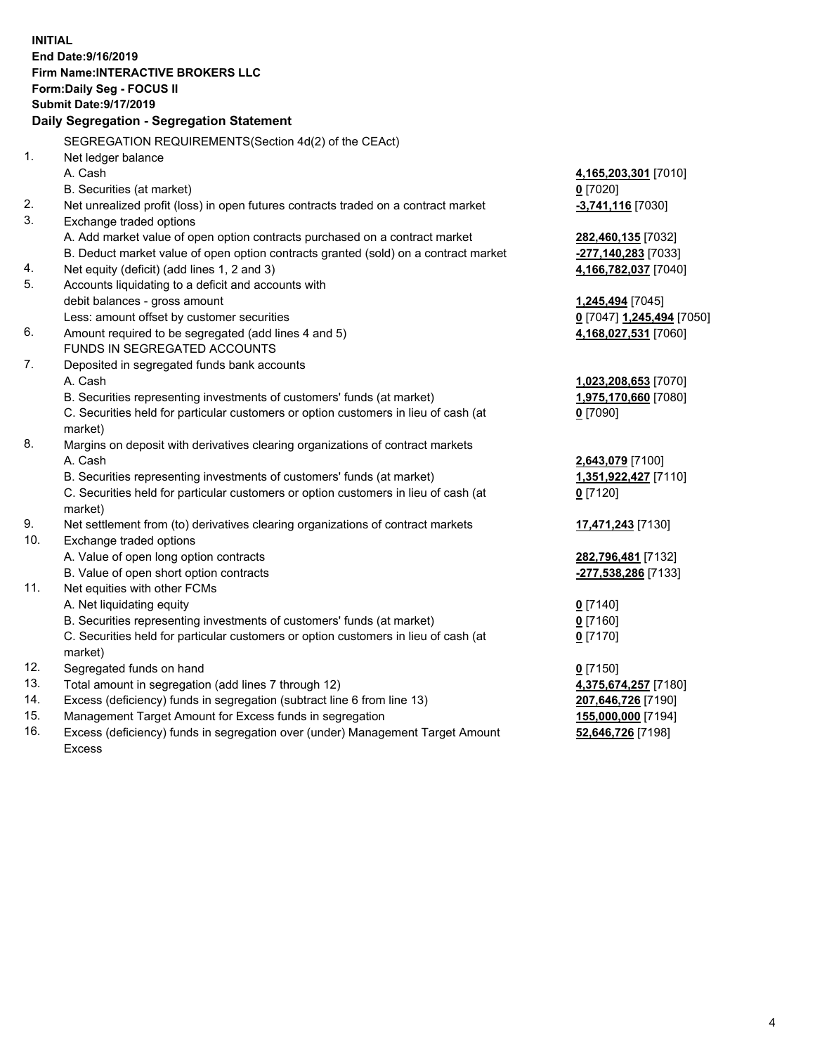**INITIAL End Date:9/16/2019 Firm Name:INTERACTIVE BROKERS LLC Form:Daily Seg - FOCUS II Submit Date:9/17/2019 Daily Segregation - Segregation Statement** SEGREGATION REQUIREMENTS(Section 4d(2) of the CEAct) 1. Net ledger balance A. Cash **4,165,203,301** [7010] B. Securities (at market) **0** [7020] 2. Net unrealized profit (loss) in open futures contracts traded on a contract market **-3,741,116** [7030] 3. Exchange traded options A. Add market value of open option contracts purchased on a contract market **282,460,135** [7032] B. Deduct market value of open option contracts granted (sold) on a contract market **-277,140,283** [7033] 4. Net equity (deficit) (add lines 1, 2 and 3) **4,166,782,037** [7040] 5. Accounts liquidating to a deficit and accounts with debit balances - gross amount **1,245,494** [7045] Less: amount offset by customer securities **0** [7047] **1,245,494** [7050] 6. Amount required to be segregated (add lines 4 and 5) **4,168,027,531** [7060] FUNDS IN SEGREGATED ACCOUNTS 7. Deposited in segregated funds bank accounts A. Cash **1,023,208,653** [7070] B. Securities representing investments of customers' funds (at market) **1,975,170,660** [7080] C. Securities held for particular customers or option customers in lieu of cash (at market) **0** [7090] 8. Margins on deposit with derivatives clearing organizations of contract markets A. Cash **2,643,079** [7100] B. Securities representing investments of customers' funds (at market) **1,351,922,427** [7110] C. Securities held for particular customers or option customers in lieu of cash (at market) **0** [7120] 9. Net settlement from (to) derivatives clearing organizations of contract markets **17,471,243** [7130] 10. Exchange traded options A. Value of open long option contracts **282,796,481** [7132] B. Value of open short option contracts **-277,538,286** [7133] 11. Net equities with other FCMs A. Net liquidating equity **0** [7140] B. Securities representing investments of customers' funds (at market) **0** [7160] C. Securities held for particular customers or option customers in lieu of cash (at market) **0** [7170] 12. Segregated funds on hand **0** [7150] 13. Total amount in segregation (add lines 7 through 12) **4,375,674,257** [7180] 14. Excess (deficiency) funds in segregation (subtract line 6 from line 13) **207,646,726** [7190] 15. Management Target Amount for Excess funds in segregation **155,000,000** [7194]

16. Excess (deficiency) funds in segregation over (under) Management Target Amount Excess

**52,646,726** [7198]